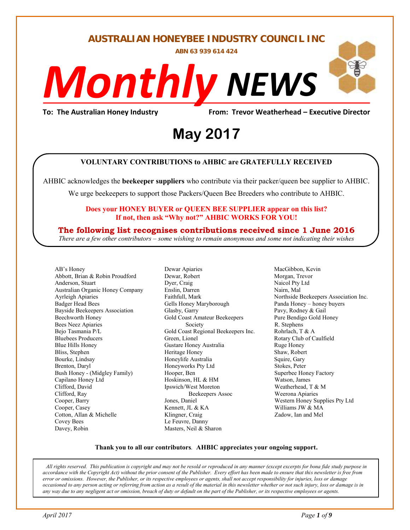**AUSTRALIAN HONEYBEE INDUSTRY COUNCIL INC** 

**ABN 63 939 614 424** 

# *NEWS Monthly*j

## To: The Australian Honey Industry **From: Trevor Weatherhead – Executive Director**<br>May 2017 **May 2017**

#### **VOLUNTARY CONTRIBUTIONS to AHBIC are GRATEFULLY RECEIVED**

AHBIC acknowledges the **beekeeper suppliers** who contribute via their packer/queen bee supplier to AHBIC.

We urge beekeepers to support those Packers/Queen Bee Breeders who contribute to AHBIC.

#### **Does your HONEY BUYER or QUEEN BEE SUPPLIER appear on this list? If not, then ask "Why not?" AHBIC WORKS FOR YOU!**

#### **The following list recognises contributions received since 1 June 2016**

*There are a few other contributors – some wishing to remain anonymous and some not indicating their wishes* 

AB's Honey Abbott, Brian & Robin Proudford Anderson, Stuart Australian Organic Honey Company Ayrleigh Apiaries Badger Head Bees Bayside Beekeepers Association Beechworth Honey Bees Neez Apiaries Bejo Tasmania P/L Bluebees Producers Blue Hills Honey Bliss, Stephen Bourke, Lindsay Brenton, Daryl Bush Honey - (Midgley Family) Capilano Honey Ltd Clifford, David Clifford, Ray Cooper, Barry Cooper, Casey Cotton, Allan & Michelle Covey Bees Davey, Robin

Dewar Apiaries Dewar, Robert Dyer, Craig Enslin, Darren Faithfull, Mark Gells Honey Maryborough Glasby, Garry Gold Coast Amateur Beekeepers Society Gold Coast Regional Beekeepers Inc. Green, Lionel Gustare Honey Australia Heritage Honey Honeylife Australia Honeyworks Pty Ltd Hooper, Ben Hoskinson, HL & HM Ipswich/West Moreton Beekeepers Assoc Jones, Daniel Kennett, JL & KA Klingner, Craig Le Feuvre, Danny Masters, Neil & Sharon

MacGibbon, Kevin Morgan, Trevor Naicol Pty Ltd Nairn, Mal Northside Beekeepers Association Inc. Panda Honey – honey buyers Pavy, Rodney & Gail Pure Bendigo Gold Honey R. Stephens Rohrlach, T & A Rotary Club of Caulfield Ruge Honey Shaw, Robert Squire, Gary Stokes, Peter Superbee Honey Factory Watson, James Weatherhead, T & M Weerona Apiaries Western Honey Supplies Pty Ltd Williams JW & MA Zadow, Ian and Mel

#### **Thank you to all our contributors***.* **AHBIC appreciates your ongoing support.**

*All rights reserved. This publication is copyright and may not be resold or reproduced in any manner (except excerpts for bona fide study purpose in accordance with the Copyright Act) without the prior consent of the Publisher. Every effort has been made to ensure that this newsletter is free from error or omissions. However, the Publisher, or its respective employees or agents, shall not accept responsibility for injuries, loss or damage occasioned to any person acting or referring from action as a result of the material in this newsletter whether or not such injury, loss or damage is in any way due to any negligent act or omission, breach of duty or default on the part of the Publisher, or its respective employees or agents.*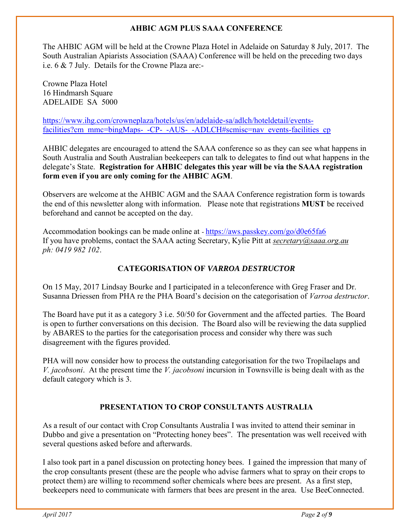#### **AHBIC AGM PLUS SAAA CONFERENCE**

The AHBIC AGM will be held at the Crowne Plaza Hotel in Adelaide on Saturday 8 July, 2017. The South Australian Apiarists Association (SAAA) Conference will be held on the preceding two days i.e. 6 & 7 July. Details for the Crowne Plaza are:-

Crowne Plaza Hotel 16 Hindmarsh Square ADELAIDE SA 5000

[https://www.ihg.com/crowneplaza/hotels/us/en/adelaide-sa/adlch/hoteldetail/events](https://www.ihg.com/crowneplaza/hotels/us/en/adelaide-sa/adlch/hoteldetail/events-facilities?cm_mmc=bingMaps-_-CP-_-AUS-_-ADLCH#scmisc=nav_events-facilities_cp)[facilities?cm\\_mmc=bingMaps-\\_-CP-\\_-AUS-\\_-ADLCH#scmisc=nav\\_events-facilities\\_cp](https://www.ihg.com/crowneplaza/hotels/us/en/adelaide-sa/adlch/hoteldetail/events-facilities?cm_mmc=bingMaps-_-CP-_-AUS-_-ADLCH#scmisc=nav_events-facilities_cp)

AHBIC delegates are encouraged to attend the SAAA conference so as they can see what happens in South Australia and South Australian beekeepers can talk to delegates to find out what happens in the delegate's State. **Registration for AHBIC delegates this year will be via the SAAA registration form even if you are only coming for the AHBIC AGM**.

Observers are welcome at the AHBIC AGM and the SAAA Conference registration form is towards the end of this newsletter along with information. Please note that registrations **MUST** be received beforehand and cannot be accepted on the day.

Accommodation bookings can be made online at - <https://aws.passkey.com/go/d0e65fa6> If you have problems, contact the SAAA acting Secretary, Kylie Pitt at *[secretary@saaa.org.au](mailto:secretary@saaa.org.au)  ph: 0419 982 102*.

#### **CATEGORISATION OF** *VARROA DESTRUCTOR*

On 15 May, 2017 Lindsay Bourke and I participated in a teleconference with Greg Fraser and Dr. Susanna Driessen from PHA re the PHA Board's decision on the categorisation of *Varroa destructor*.

The Board have put it as a category 3 i.e. 50/50 for Government and the affected parties. The Board is open to further conversations on this decision. The Board also will be reviewing the data supplied by ABARES to the parties for the categorisation process and consider why there was such disagreement with the figures provided.

PHA will now consider how to process the outstanding categorisation for the two Tropilaelaps and *V. jacobsoni*. At the present time the *V. jacobsoni* incursion in Townsville is being dealt with as the default category which is 3.

#### **PRESENTATION TO CROP CONSULTANTS AUSTRALIA**

As a result of our contact with Crop Consultants Australia I was invited to attend their seminar in Dubbo and give a presentation on "Protecting honey bees". The presentation was well received with several questions asked before and afterwards.

I also took part in a panel discussion on protecting honey bees. I gained the impression that many of the crop consultants present (these are the people who advise farmers what to spray on their crops to protect them) are willing to recommend softer chemicals where bees are present. As a first step, beekeepers need to communicate with farmers that bees are present in the area. Use BeeConnected.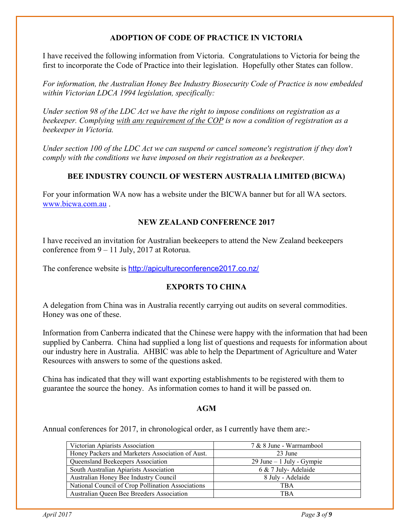#### **ADOPTION OF CODE OF PRACTICE IN VICTORIA**

I have received the following information from Victoria. Congratulations to Victoria for being the first to incorporate the Code of Practice into their legislation. Hopefully other States can follow.

*For information, the Australian Honey Bee Industry Biosecurity Code of Practice is now embedded within Victorian LDCA 1994 legislation, specifically:* 

*Under section 98 of the LDC Act we have the right to impose conditions on registration as a beekeeper. Complying with any requirement of the COP is now a condition of registration as a beekeeper in Victoria.* 

*Under section 100 of the LDC Act we can suspend or cancel someone's registration if they don't comply with the conditions we have imposed on their registration as a beekeeper.* 

#### **BEE INDUSTRY COUNCIL OF WESTERN AUSTRALIA LIMITED (BICWA)**

For your information WA now has a website under the BICWA banner but for all WA sectors. [www.bicwa.com.au](http://www.bicwa.com.au/) .

#### **NEW ZEALAND CONFERENCE 2017**

I have received an invitation for Australian beekeepers to attend the New Zealand beekeepers conference from 9 – 11 July, 2017 at Rotorua.

The conference website is <http://apicultureconference2017.co.nz/>

#### **EXPORTS TO CHINA**

A delegation from China was in Australia recently carrying out audits on several commodities. Honey was one of these.

Information from Canberra indicated that the Chinese were happy with the information that had been supplied by Canberra. China had supplied a long list of questions and requests for information about our industry here in Australia. AHBIC was able to help the Department of Agriculture and Water Resources with answers to some of the questions asked.

China has indicated that they will want exporting establishments to be registered with them to guarantee the source the honey. As information comes to hand it will be passed on.

#### **AGM**

Annual conferences for 2017, in chronological order, as I currently have them are:-

| 7 & 8 June - Warrnambool     |
|------------------------------|
| 23 June                      |
| $29$ June $-1$ July - Gympie |
| 6 & 7 July-Adelaide          |
| 8 July - Adelaide            |
| TBA                          |
| TBA                          |
|                              |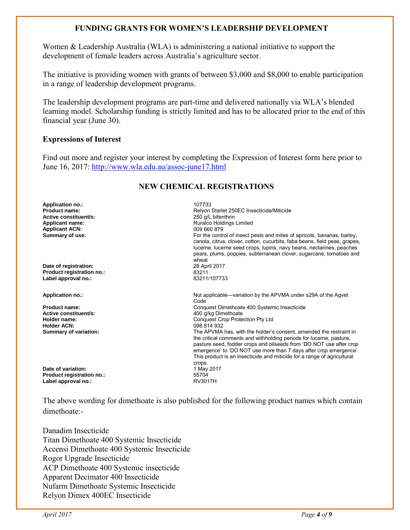#### **FUNDING GRANTS FOR WOMEN'S LEADERSHIP DEVELOPMENT**

Women & Leadership Australia (WLA) is administering a national initiative to support the development of female leaders across Australia's agriculture sector.

The initiative is providing women with grants of between \$3,000 and \$8,000 to enable participation in a range of leadership development programs.

The leadership development programs are part-time and delivered nationally via WLA's blended learning model. Scholarship funding is strictly limited and has to be allocated prior to the end of this financial year (June 30).

#### **Expressions of Interest**

Find out more and register your interest by completing the Expression of Interest form here prior to June 16, 2017:<http://www.wla.edu.au/assoc-june17.html>

#### **NEW CHEMICAL REGISTRATIONS**

| <b>Application no.:</b>      | 107733                                                                                                                                                                                                                                                                                                                                                                     |
|------------------------------|----------------------------------------------------------------------------------------------------------------------------------------------------------------------------------------------------------------------------------------------------------------------------------------------------------------------------------------------------------------------------|
| <b>Product name:</b>         | Relyon Starlet 250EC Insecticide/Miticide                                                                                                                                                                                                                                                                                                                                  |
| Active constituent/s:        | 250 g/L bifenthrin                                                                                                                                                                                                                                                                                                                                                         |
| <b>Applicant name:</b>       | <b>Ruralco Holdings Limited</b>                                                                                                                                                                                                                                                                                                                                            |
| <b>Applicant ACN:</b>        | 009 660 879                                                                                                                                                                                                                                                                                                                                                                |
| Summary of use:              | For the control of insect pests and mites of apricots, bananas, barley,<br>canola, citrus, clover, cotton, cucurbits, faba beans, field peas, grapes,<br>lucerne, lucerne seed crops, lupins, navy beans, nectarines, peaches<br>pears, plums, poppies, subterranean clover, sugarcane, tomatoes and<br>wheat                                                              |
| Date of registration:        | 28 April 2017                                                                                                                                                                                                                                                                                                                                                              |
| Product registration no.:    | 83211                                                                                                                                                                                                                                                                                                                                                                      |
| Label approval no.:          | 83211/107733                                                                                                                                                                                                                                                                                                                                                               |
| <b>Application no.:</b>      | Not applicable—variation by the APVMA under s29A of the Agvet<br>Code                                                                                                                                                                                                                                                                                                      |
| <b>Product name:</b>         | Conquest Dimethoate 400 Systemic Insecticide                                                                                                                                                                                                                                                                                                                               |
| Active constituent/s:        | 400 g/kg Dimethoate                                                                                                                                                                                                                                                                                                                                                        |
| Holder name:                 | <b>Conquest Crop Protection Pty Ltd</b>                                                                                                                                                                                                                                                                                                                                    |
| <b>Holder ACN:</b>           | 098 814 932                                                                                                                                                                                                                                                                                                                                                                |
| <b>Summary of variation:</b> | The APVMA has, with the holder's consent, amended the restraint in<br>the critical comments and withholding periods for lucerne, pasture,<br>pasture seed, fodder crops and oilseeds from 'DO NOT use after crop<br>emergence' to 'DO NOT use more than 7 days after crop emergence'.<br>This product is an insecticide and miticide for a range of agricultural<br>crops. |
| Date of variation:           | 1 May 2017                                                                                                                                                                                                                                                                                                                                                                 |
| Product registration no.:    | 55704                                                                                                                                                                                                                                                                                                                                                                      |
| Label approval no.:          | <b>RV3017H</b>                                                                                                                                                                                                                                                                                                                                                             |
|                              |                                                                                                                                                                                                                                                                                                                                                                            |

The above wording for dimethoate is also published for the following product names which contain dimethoate:-

Danadim Insecticide Titan Dimethoate 400 Systemic Insecticide Accensi Dimethoate 400 Systemic Insecticide Rogor Upgrade Insecticide ACP Dimethoate 400 Systemic insecticide Apparent Decimator 400 Insecticide Nufarm Dimethoate Systemic Insecticide Relyon Dimex 400EC Insecticide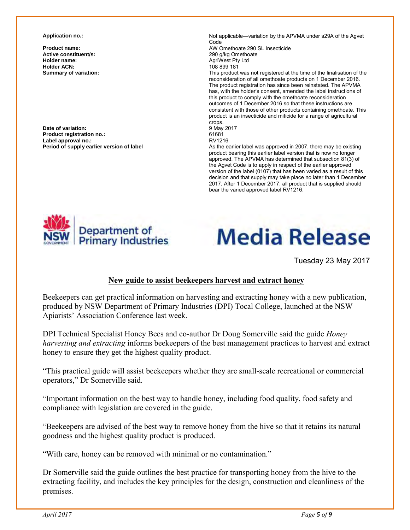**Active constituent/s:** <br> **Active constituent/s:** <br> **Active constituent/s:** <br> **Actives:** <br> **Actives:** <br> **Actives:** <br> **Actives:** <br> **Actives:** <br> **Actives:** <br> **Actives:** <br> **Actives:** <br> **Actives:** <br> **Actives:** <br> **Actives:** <br> **Holder ACN:**<br>**Summary of variation:** 

**Date of variation:** 9 May 2017 **Product registration no.:** 61681 Label approval no.:<br>Period of supply earlier version of label

**Application no.: Not applicable—variation by the APVMA under s29A of the Agvet** Code

**Product name: Product name: AW Omethoate 290 SL Insecticide**<br> **Active constituent/s:** 290 q/kg Omethoate AgriWest Pty Ltd<br>108 899 181

This product was not registered at the time of the finalisation of the reconsideration of all omethoate products on 1 December 2016. The product registration has since been reinstated. The APVMA has, with the holder's consent, amended the label instructions of this product to comply with the omethoate reconsideration outcomes of 1 December 2016 so that these instructions are consistent with those of other products containing omethoate. This product is an insecticide and miticide for a range of agricultural crops.

As the earlier label was approved in 2007, there may be existing product bearing this earlier label version that is now no longer approved. The APVMA has determined that subsection 81(3) of the Agvet Code is to apply in respect of the earlier approved version of the label (0107) that has been varied as a result of this decision and that supply may take place no later than 1 December 2017. After 1 December 2017, all product that is supplied should bear the varied approved label RV1216.



# **Media Release**

Tuesday 23 May 2017

#### **New guide to assist beekeepers harvest and extract honey**

Beekeepers can get practical information on harvesting and extracting honey with a new publication, produced by NSW Department of Primary Industries (DPI) Tocal College, launched at the NSW Apiarists' Association Conference last week.

DPI Technical Specialist Honey Bees and co-author Dr Doug Somerville said the guide *Honey harvesting and extracting* informs beekeepers of the best management practices to harvest and extract honey to ensure they get the highest quality product.

"This practical guide will assist beekeepers whether they are small-scale recreational or commercial operators," Dr Somerville said.

"Important information on the best way to handle honey, including food quality, food safety and compliance with legislation are covered in the guide.

"Beekeepers are advised of the best way to remove honey from the hive so that it retains its natural goodness and the highest quality product is produced.

"With care, honey can be removed with minimal or no contamination."

Dr Somerville said the guide outlines the best practice for transporting honey from the hive to the extracting facility, and includes the key principles for the design, construction and cleanliness of the premises.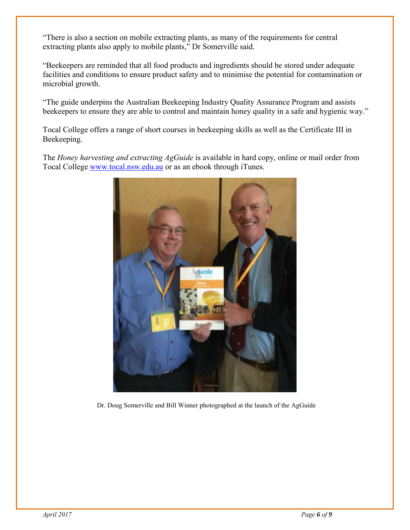"There is also a section on mobile extracting plants, as many of the requirements for central extracting plants also apply to mobile plants," Dr Somerville said.

"Beekeepers are reminded that all food products and ingredients should be stored under adequate facilities and conditions to ensure product safety and to minimise the potential for contamination or microbial growth.

"The guide underpins the Australian Beekeeping Industry Quality Assurance Program and assists beekeepers to ensure they are able to control and maintain honey quality in a safe and hygienic way."

Tocal College offers a range of short courses in beekeeping skills as well as the Certificate III in Beekeeping.

The *Honey harvesting and extracting AgGuide* is available in hard copy, online or mail order from Tocal College [www.tocal.nsw.edu.au](http://www.tocal.nsw.edu.au/) or as an ebook through iTunes.



Dr. Doug Somerville and Bill Winner photographed at the launch of the AgGuide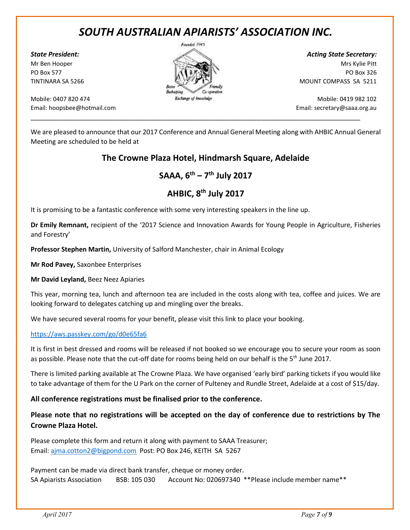### *SOUTH AUSTRALIAN APIARISTS' ASSOCIATION INC.*

Mobile: 0407 820 474 Mobile: 0419 982 102 Email: hoopsbee@hotmail.com Email: secretary@saaa.org.au



\_\_\_\_\_\_\_\_\_\_\_\_\_\_\_\_\_\_\_\_\_\_\_\_\_\_\_\_\_\_\_\_\_\_\_\_\_\_\_\_\_\_\_\_\_\_\_\_\_\_\_\_\_\_\_\_\_\_\_\_\_\_\_\_\_\_\_\_\_\_\_\_\_\_\_\_\_\_\_\_\_\_\_\_\_\_\_\_\_\_

*State President: Acting State Secretary:* Mr Ben Hooper Mrs Kylie Pitt PO Box 577 PO Box 326 TINTINARA SA 5266 MOUNT COMPASS SA 5211

We are pleased to announce that our 2017 Conference and Annual General Meeting along with AHBIC Annual General Meeting are scheduled to be held at

#### **The Crowne Plaza Hotel, Hindmarsh Square, Adelaide**

**SAAA, 6th – 7 th July 2017**

#### **AHBIC, 8th July 2017**

It is promising to be a fantastic conference with some very interesting speakers in the line up.

**Dr Emily Remnant,** recipient of the '2017 Science and Innovation Awards for Young People in Agriculture, Fisheries and Forestry'

**Professor Stephen Martin,** University of Salford Manchester, chair in Animal Ecology

**Mr Rod Pavey,** Saxonbee Enterprises

**Mr David Leyland,** Beez Neez Apiaries

This year, morning tea, lunch and afternoon tea are included in the costs along with tea, coffee and juices. We are looking forward to delegates catching up and mingling over the breaks.

We have secured several rooms for your benefit, please visit this link to place your booking.

#### https://aws.passkey.com/go/d0e65fa6

It is first in best dressed and rooms will be released if not booked so we encourage you to secure your room as soon as possible. Please note that the cut-off date for rooms being held on our behalf is the 5<sup>th</sup> June 2017.

There is limited parking available at The Crowne Plaza. We have organised 'early bird' parking tickets if you would like to take advantage of them for the U Park on the corner of Pulteney and Rundle Street, Adelaide at a cost of \$15/day.

#### **All conference registrations must be finalised prior to the conference.**

**Please note that no registrations will be accepted on the day of conference due to restrictions by The Crowne Plaza Hotel.**

Please complete this form and return it along with payment to SAAA Treasurer; Email: ajma.cotton2@bigpond.com Post: PO Box 246, KEITH SA 5267

Payment can be made via direct bank transfer, cheque or money order. SA Apiarists Association BSB: 105 030 Account No: 020697340 \*\*Please include member name\*\*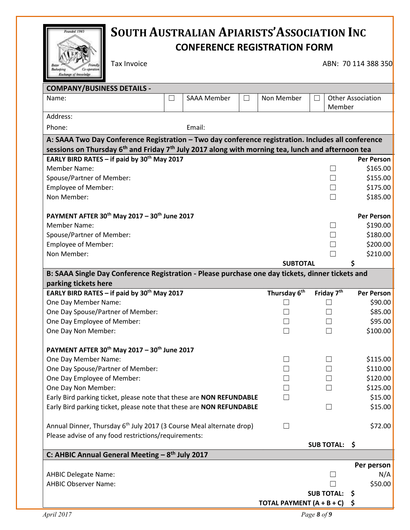| <b>CONFERENCE REGISTRATION FORM</b><br><b>Tax Invoice</b><br>ABN: 70 114 388 350<br>Benkertving<br><b>Grabenstian</b><br>Exchange of inocoledge                                                           |          |  |  |  |
|-----------------------------------------------------------------------------------------------------------------------------------------------------------------------------------------------------------|----------|--|--|--|
|                                                                                                                                                                                                           |          |  |  |  |
|                                                                                                                                                                                                           |          |  |  |  |
|                                                                                                                                                                                                           |          |  |  |  |
|                                                                                                                                                                                                           |          |  |  |  |
| <b>COMPANY/BUSINESS DETAILS -</b>                                                                                                                                                                         |          |  |  |  |
| <b>SAAA Member</b><br>Non Member<br><b>Other Association</b><br>Name:<br>$\Box$                                                                                                                           |          |  |  |  |
| Member<br>Address:                                                                                                                                                                                        |          |  |  |  |
|                                                                                                                                                                                                           |          |  |  |  |
| Phone:<br>Email:                                                                                                                                                                                          |          |  |  |  |
| A: SAAA Two Day Conference Registration - Two day conference registration. Includes all conference                                                                                                        |          |  |  |  |
| sessions on Thursday 6 <sup>th</sup> and Friday 7 <sup>th</sup> July 2017 along with morning tea, lunch and afternoon tea<br>EARLY BIRD RATES - if paid by 30 <sup>th</sup> May 2017<br><b>Per Person</b> |          |  |  |  |
| <b>Member Name:</b><br>$\vert \ \ \vert$                                                                                                                                                                  | \$165.00 |  |  |  |
| Spouse/Partner of Member:                                                                                                                                                                                 | \$155.00 |  |  |  |
| <b>Employee of Member:</b><br>$\Box$                                                                                                                                                                      | \$175.00 |  |  |  |
| Non Member:                                                                                                                                                                                               | \$185.00 |  |  |  |
|                                                                                                                                                                                                           |          |  |  |  |
|                                                                                                                                                                                                           |          |  |  |  |
| PAYMENT AFTER 30 <sup>th</sup> May 2017 - 30 <sup>th</sup> June 2017<br><b>Per Person</b>                                                                                                                 |          |  |  |  |
| <b>Member Name:</b><br>$\vert \ \ \vert$                                                                                                                                                                  | \$190.00 |  |  |  |
| Spouse/Partner of Member:                                                                                                                                                                                 | \$180.00 |  |  |  |
| <b>Employee of Member:</b>                                                                                                                                                                                | \$200.00 |  |  |  |
| Non Member:                                                                                                                                                                                               | \$210.00 |  |  |  |
| <b>SUBTOTAL</b>                                                                                                                                                                                           |          |  |  |  |
| B: SAAA Single Day Conference Registration - Please purchase one day tickets, dinner tickets and                                                                                                          |          |  |  |  |
| parking tickets here                                                                                                                                                                                      |          |  |  |  |
| Thursday 6 <sup>th</sup><br>EARLY BIRD RATES - if paid by 30 <sup>th</sup> May 2017<br>Friday 7 <sup>th</sup><br><b>Per Person</b>                                                                        |          |  |  |  |
| One Day Member Name:                                                                                                                                                                                      | \$90.00  |  |  |  |
| One Day Spouse/Partner of Member:                                                                                                                                                                         | \$85.00  |  |  |  |
| One Day Employee of Member:                                                                                                                                                                               | \$95.00  |  |  |  |
| One Day Non Member:                                                                                                                                                                                       | \$100.00 |  |  |  |
| PAYMENT AFTER 30 <sup>th</sup> May 2017 - 30 <sup>th</sup> June 2017                                                                                                                                      |          |  |  |  |
| One Day Member Name:<br>$\Box$                                                                                                                                                                            | \$115.00 |  |  |  |
| One Day Spouse/Partner of Member:                                                                                                                                                                         | \$110.00 |  |  |  |
| One Day Employee of Member:                                                                                                                                                                               | \$120.00 |  |  |  |
| One Day Non Member:                                                                                                                                                                                       | \$125.00 |  |  |  |
| Early Bird parking ticket, please note that these are NON REFUNDABLE                                                                                                                                      | \$15.00  |  |  |  |
| Early Bird parking ticket, please note that these are NON REFUNDABLE                                                                                                                                      | \$15.00  |  |  |  |
|                                                                                                                                                                                                           |          |  |  |  |
| Annual Dinner, Thursday 6 <sup>th</sup> July 2017 (3 Course Meal alternate drop)<br>H                                                                                                                     | \$72.00  |  |  |  |
| Please advise of any food restrictions/requirements:                                                                                                                                                      |          |  |  |  |
| <b>SUB TOTAL:</b><br>\$                                                                                                                                                                                   |          |  |  |  |
| C: AHBIC Annual General Meeting $-8$ <sup>th</sup> July 2017                                                                                                                                              |          |  |  |  |
| Per person                                                                                                                                                                                                |          |  |  |  |
| <b>AHBIC Delegate Name:</b>                                                                                                                                                                               | N/A      |  |  |  |
| <b>AHBIC Observer Name:</b><br><b>SUB TOTAL:</b><br>\$.                                                                                                                                                   | \$50.00  |  |  |  |